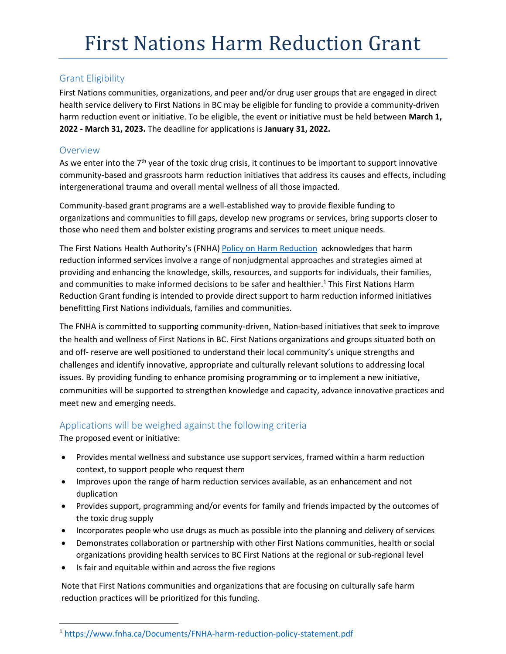# Grant Eligibility

First Nations communities, organizations, and peer and/or drug user groups that are engaged in direct health service delivery to First Nations in BC may be eligible for funding to provide a community-driven harm reduction event or initiative. To be eligible, the event or initiative must be held between **March 1, 2022 - March 31, 2023.** The deadline for applications is **January 31, 2022.**

### Overview

As we enter into the  $7<sup>th</sup>$  year of the toxic drug crisis, it continues to be important to support innovative community-based and grassroots harm reduction initiatives that address its causes and effects, including intergenerational trauma and overall mental wellness of all those impacted.

Community-based grant programs are a well-established way to provide flexible funding to organizations and communities to fill gaps, develop new programs or services, bring supports closer to those who need them and bolster existing programs and services to meet unique needs.

The First Nations Health Authority's (FNHA) [Policy on Harm Reduction](https://www.fnha.ca/Documents/FNHA-harm-reduction-policy-statement.pdf) acknowledges that harm reduction informed services involve a range of nonjudgmental approaches and strategies aimed at providing and enhancing the knowledge, skills, resources, and supports for individuals, their families, and communities to make informed decisions to be safer and healthier.<sup>1</sup> This First Nations Harm Reduction Grant funding is intended to provide direct support to harm reduction informed initiatives benefitting First Nations individuals, families and communities.

The FNHA is committed to supporting community-driven, Nation-based initiatives that seek to improve the health and wellness of First Nations in BC. First Nations organizations and groups situated both on and off- reserve are well positioned to understand their local community's unique strengths and challenges and identify innovative, appropriate and culturally relevant solutions to addressing local issues. By providing funding to enhance promising programming or to implement a new initiative, communities will be supported to strengthen knowledge and capacity, advance innovative practices and meet new and emerging needs.

# Applications will be weighed against the following criteria

The proposed event or initiative:

 $\overline{\phantom{a}}$ 

- Provides mental wellness and substance use support services, framed within a harm reduction context, to support people who request them
- Improves upon the range of harm reduction services available, as an enhancement and not duplication
- Provides support, programming and/or events for family and friends impacted by the outcomes of the toxic drug supply
- Incorporates people who use drugs as much as possible into the planning and delivery of services
- Demonstrates collaboration or partnership with other First Nations communities, health or social organizations providing health services to BC First Nations at the regional or sub-regional level
- Is fair and equitable within and across the five regions

Note that First Nations communities and organizations that are focusing on culturally safe harm reduction practices will be prioritized for this funding.

<sup>1</sup> <https://www.fnha.ca/Documents/FNHA-harm-reduction-policy-statement.pdf>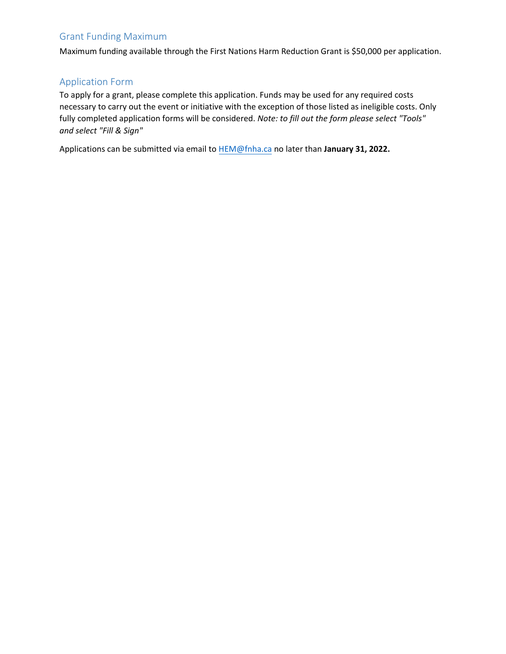# Grant Funding Maximum

Maximum funding available through the First Nations Harm Reduction Grant is \$50,000 per application.

### Application Form

To apply for a grant, please complete this application. Funds may be used for any required costs necessary to carry out the event or initiative with the exception of those listed as ineligible costs. Only fully completed application forms will be considered. *Note: to fill out the form please select "Tools" and select "Fill & Sign"*

Applications can be submitted via email t[o HEM@fnha.ca](mailto:HEM@fnha.ca) no later than **January 31, 2022.**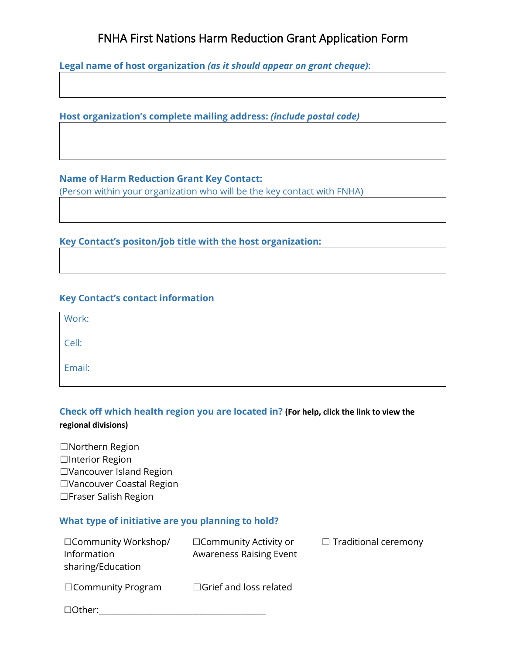# FNHA First Nations Harm Reduction Grant Application Form

**Legal name of host organization** *(as it should appear on grant cheque)***:** 

**Host organization's complete mailing address:** *(include postal code)* 

#### **Name of Harm Reduction Grant Key Contact:**

(Person within your organization who will be the key contact with FNHA)

**Key Contact's positon/job title with the host organization:** 

#### **Key Contact's contact information**

| Work:  |  |  |
|--------|--|--|
| Cell:  |  |  |
| Email: |  |  |

# **Check off which health region you are located in? (For help, click the link to view the regional divisions)**

☐Northern Region □Interior Region ☐Vancouver Island Region ☐Vancouver Coastal Region ☐Fraser Salish Region

# **What type of initiative are you planning to hold?**

| □Community Workshop/<br>Information<br>sharing/Education | □ Community Activity or<br><b>Awareness Raising Event</b> | $\Box$ Traditional ceremony |
|----------------------------------------------------------|-----------------------------------------------------------|-----------------------------|
| $\Box$ Community Program                                 | $\Box$ Grief and loss related                             |                             |
| $\Box$ Other:                                            |                                                           |                             |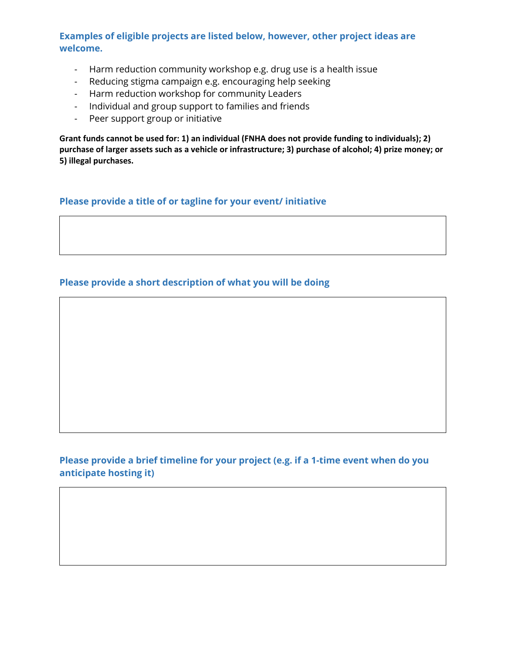# **Examples of eligible projects are listed below, however, other project ideas are welcome.**

- Harm reduction community workshop e.g. drug use is a health issue
- Reducing stigma campaign e.g. encouraging help seeking
- Harm reduction workshop for community Leaders
- Individual and group support to families and friends
- Peer support group or initiative

**Grant funds cannot be used for: 1) an individual (FNHA does not provide funding to individuals); 2) purchase of larger assets such as a vehicle or infrastructure; 3) purchase of alcohol; 4) prize money; or 5) illegal purchases.**

#### **Please provide a title of or tagline for your event/ initiative**

# **Please provide a short description of what you will be doing**

### **Please provide a brief timeline for your project (e.g. if a 1-time event when do you anticipate hosting it)**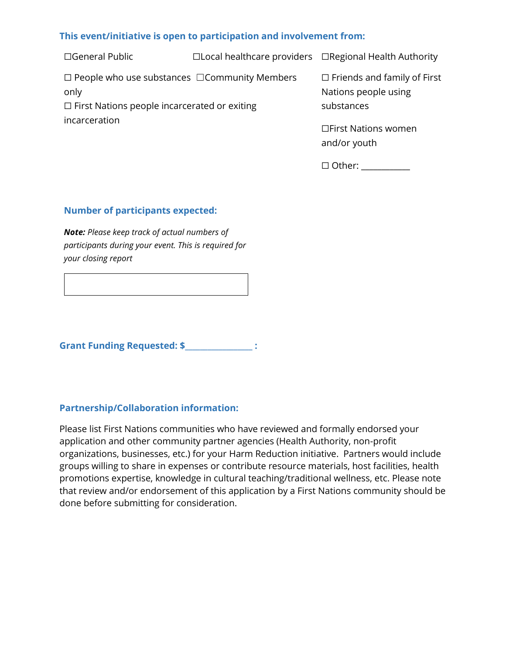### **This event/initiative is open to participation and involvement from:**

☐General Public ☐Local healthcare providers ☐Regional Health Authority ☐ People who use substances ☐Community Members only ☐ First Nations people incarcerated or exiting incarceration ☐ Friends and family of First Nations people using substances ☐First Nations women

☐ Other: \_\_\_\_\_\_\_\_\_\_\_\_

and/or youth

#### **Number of participants expected:**

*Note: Please keep track of actual numbers of participants during your event. This is required for your closing report*

Grant Funding Requested: \$ \_\_\_\_\_\_\_\_\_\_\_\_\_\_\_ :

#### **Partnership/Collaboration information:**

Please list First Nations communities who have reviewed and formally endorsed your application and other community partner agencies (Health Authority, non-profit organizations, businesses, etc.) for your Harm Reduction initiative. Partners would include groups willing to share in expenses or contribute resource materials, host facilities, health promotions expertise, knowledge in cultural teaching/traditional wellness, etc. Please note that review and/or endorsement of this application by a First Nations community should be done before submitting for consideration.